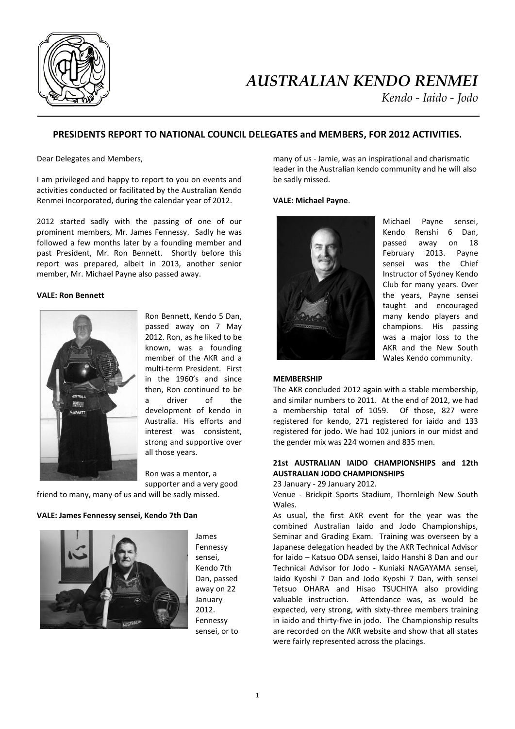

# *AUSTRALIAN KENDO RENMEI*

*Kendo - Iaido - Jodo*

# **PRESIDENTS REPORT TO NATIONAL COUNCIL DELEGATES and MEMBERS, FOR 2012 ACTIVITIES.**

Dear Delegates and Members,

I am privileged and happy to report to you on events and activities conducted or facilitated by the Australian Kendo Renmei Incorporated, during the calendar year of 2012.

2012 started sadly with the passing of one of our prominent members, Mr. James Fennessy. Sadly he was followed a few months later by a founding member and past President, Mr. Ron Bennett. Shortly before this report was prepared, albeit in 2013, another senior member, Mr. Michael Payne also passed away.

#### **VALE: Ron Bennett**



Ron Bennett, Kendo 5 Dan, passed away on 7 May 2012. Ron, as he liked to be known, was a founding member of the AKR and a multi-term President. First in the 1960's and since then, Ron continued to be a driver of the development of kendo in Australia. His efforts and interest was consistent, strong and supportive over all those years.

Ron was a mentor, a supporter and a very good

friend to many, many of us and will be sadly missed.

## **VALE: James Fennessy sensei, Kendo 7th Dan**



James Fennessy sensei, Kendo 7th Dan, passed away on 22 January 2012. Fennessy sensei, or to many of us - Jamie, was an inspirational and charismatic leader in the Australian kendo community and he will also be sadly missed.

#### **VALE: Michael Payne**.



Michael Payne sensei, Kendo Renshi 6 Dan, passed away on 18 February 2013. Payne sensei was the Chief Instructor of Sydney Kendo Club for many years. Over the years, Payne sensei taught and encouraged many kendo players and champions. His passing was a major loss to the AKR and the New South Wales Kendo community.

#### **MEMBERSHIP**

The AKR concluded 2012 again with a stable membership, and similar numbers to 2011. At the end of 2012, we had a membership total of 1059. Of those, 827 were registered for kendo, 271 registered for iaido and 133 registered for jodo. We had 102 juniors in our midst and the gender mix was 224 women and 835 men.

## **21st AUSTRALIAN IAIDO CHAMPIONSHIPS and 12th AUSTRALIAN JODO CHAMPIONSHIPS**

23 January - 29 January 2012.

Venue - Brickpit Sports Stadium, Thornleigh New South Wales.

As usual, the first AKR event for the year was the combined Australian Iaido and Jodo Championships, Seminar and Grading Exam. Training was overseen by a Japanese delegation headed by the AKR Technical Advisor for Iaido – Katsuo ODA sensei, Iaido Hanshi 8 Dan and our Technical Advisor for Jodo - Kuniaki NAGAYAMA sensei, Iaido Kyoshi 7 Dan and Jodo Kyoshi 7 Dan, with sensei Tetsuo OHARA and Hisao TSUCHIYA also providing valuable instruction. Attendance was, as would be expected, very strong, with sixty-three members training in iaido and thirty-five in jodo. The Championship results are recorded on the AKR website and show that all states were fairly represented across the placings.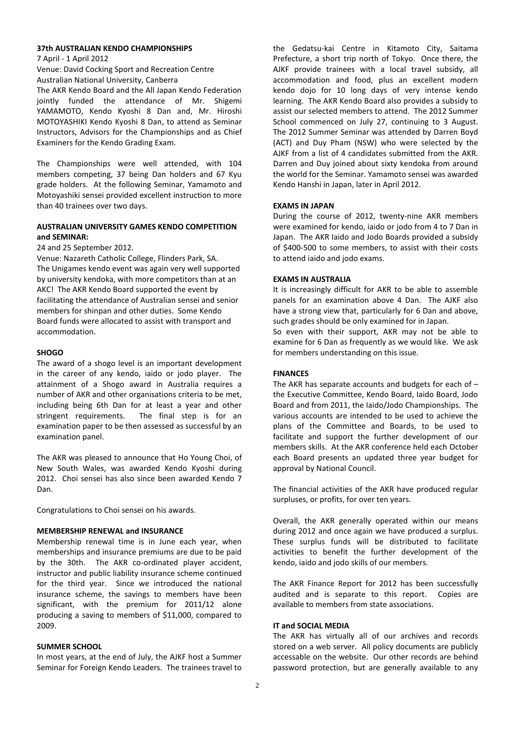#### **37th AUSTRALIAN KENDO CHAMPIONSHIPS**

7 April - 1 April 2012

Venue: David Cocking Sport and Recreation Centre Australian National University, Canberra

The AKR Kendo Board and the All Japan Kendo Federation jointly funded the attendance of Mr. Shigemi YAMAMOTO, Kendo Kyoshi 8 Dan and, Mr. Hiroshi MOTOYASHIKI Kendo Kyoshi 8 Dan, to attend as Seminar Instructors, Advisors for the Championships and as Chief Examiners for the Kendo Grading Exam.

The Championships were well attended, with 104 members competing, 37 being Dan holders and 67 Kyu grade holders. At the following Seminar, Yamamoto and Motoyashiki sensei provided excellent instruction to more than 40 trainees over two days.

## **AUSTRALIAN UNIVERSITY GAMES KENDO COMPETITION and SEMINAR:**

24 and 25 September 2012.

Venue: Nazareth Catholic College, Flinders Park, SA. The Unigames kendo event was again very well supported by university kendoka, with more competitors than at an AKC! The AKR Kendo Board supported the event by facilitating the attendance of Australian sensei and senior members for shinpan and other duties. Some Kendo Board funds were allocated to assist with transport and accommodation.

#### **SHOGO**

The award of a shogo level is an important development in the career of any kendo, iaido or jodo player. The attainment of a Shogo award in Australia requires a number of AKR and other organisations criteria to be met, including being 6th Dan for at least a year and other stringent requirements. The final step is for an examination paper to be then assessed as successful by an examination panel.

The AKR was pleased to announce that Ho Young Choi, of New South Wales, was awarded Kendo Kyoshi during 2012. Choi sensei has also since been awarded Kendo 7 Dan.

Congratulations to Choi sensei on his awards.

## **MEMBERSHIP RENEWAL and INSURANCE**

Membership renewal time is in June each year, when memberships and insurance premiums are due to be paid by the 30th. The AKR co-ordinated player accident, instructor and public liability insurance scheme continued for the third year. Since we introduced the national insurance scheme, the savings to members have been significant, with the premium for 2011/12 alone producing a saving to members of \$11,000, compared to 2009.

#### **SUMMER SCHOOL**

In most years, at the end of July, the AJKF host a Summer Seminar for Foreign Kendo Leaders. The trainees travel to

the Gedatsu-kai Centre in Kitamoto City, Saitama Prefecture, a short trip north of Tokyo. Once there, the AJKF provide trainees with a local travel subsidy, all accommodation and food, plus an excellent modern kendo dojo for 10 long days of very intense kendo learning. The AKR Kendo Board also provides a subsidy to assist our selected members to attend. The 2012 Summer School commenced on July 27, continuing to 3 August. The 2012 Summer Seminar was attended by Darren Boyd (ACT) and Duy Pham (NSW) who were selected by the AJKF from a list of 4 candidates submitted from the AKR. Darren and Duy joined about sixty kendoka from around the world for the Seminar. Yamamoto sensei was awarded Kendo Hanshi in Japan, later in April 2012.

#### **EXAMS IN JAPAN**

During the course of 2012, twenty-nine AKR members were examined for kendo, iaido or jodo from 4 to 7 Dan in Japan. The AKR Iaido and Jodo Boards provided a subsidy of \$400-500 to some members, to assist with their costs to attend iaido and jodo exams.

#### **EXAMS IN AUSTRALIA**

It is increasingly difficult for AKR to be able to assemble panels for an examination above 4 Dan. The AJKF also have a strong view that, particularly for 6 Dan and above, such grades should be only examined for in Japan.

So even with their support, AKR may not be able to examine for 6 Dan as frequently as we would like. We ask for members understanding on this issue.

## **FINANCES**

The AKR has separate accounts and budgets for each of  $$ the Executive Committee, Kendo Board, Iaido Board, Jodo Board and from 2011, the Iaido/Jodo Championships. The various accounts are intended to be used to achieve the plans of the Committee and Boards, to be used to facilitate and support the further development of our members skills. At the AKR conference held each October each Board presents an updated three year budget for approval by National Council.

The financial activities of the AKR have produced regular surpluses, or profits, for over ten years.

Overall, the AKR generally operated within our means during 2012 and once again we have produced a surplus. These surplus funds will be distributed to facilitate activities to benefit the further development of the kendo, iaido and jodo skills of our members.

The AKR Finance Report for 2012 has been successfully audited and is separate to this report. Copies are available to members from state associations.

## **IT and SOCIAL MEDIA**

The AKR has virtually all of our archives and records stored on a web server. All policy documents are publicly accessable on the website. Our other records are behind password protection, but are generally available to any